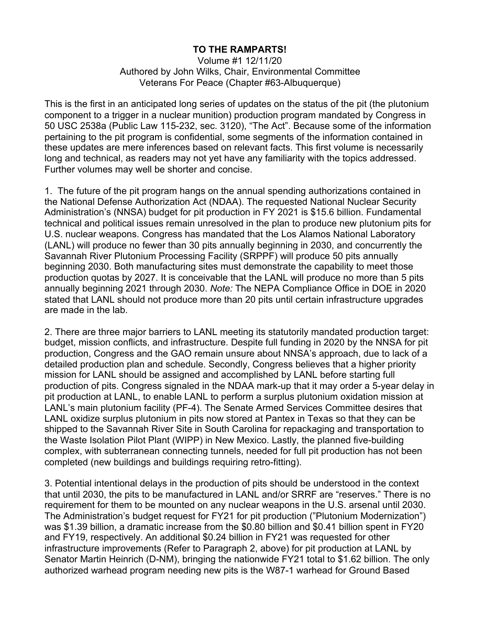## **TO THE RAMPARTS!**

Volume #1 12/11/20 Authored by John Wilks, Chair, Environmental Committee Veterans For Peace (Chapter #63-Albuquerque)

This is the first in an anticipated long series of updates on the status of the pit (the plutonium component to a trigger in a nuclear munition) production program mandated by Congress in 50 USC 2538a (Public Law 115-232, sec. 3120), "The Act". Because some of the information pertaining to the pit program is confidential, some segments of the information contained in these updates are mere inferences based on relevant facts. This first volume is necessarily long and technical, as readers may not yet have any familiarity with the topics addressed. Further volumes may well be shorter and concise.

1. The future of the pit program hangs on the annual spending authorizations contained in the National Defense Authorization Act (NDAA). The requested National Nuclear Security Administration's (NNSA) budget for pit production in FY 2021 is \$15.6 billion. Fundamental technical and political issues remain unresolved in the plan to produce new plutonium pits for U.S. nuclear weapons. Congress has mandated that the Los Alamos National Laboratory (LANL) will produce no fewer than 30 pits annually beginning in 2030, and concurrently the Savannah River Plutonium Processing Facility (SRPPF) will produce 50 pits annually beginning 2030. Both manufacturing sites must demonstrate the capability to meet those production quotas by 2027. It is conceivable that the LANL will produce no more than 5 pits annually beginning 2021 through 2030. *Note:* The NEPA Compliance Office in DOE in 2020 stated that LANL should not produce more than 20 pits until certain infrastructure upgrades are made in the lab.

2. There are three major barriers to LANL meeting its statutorily mandated production target: budget, mission conflicts, and infrastructure. Despite full funding in 2020 by the NNSA for pit production, Congress and the GAO remain unsure about NNSA's approach, due to lack of a detailed production plan and schedule. Secondly, Congress believes that a higher priority mission for LANL should be assigned and accomplished by LANL before starting full production of pits. Congress signaled in the NDAA mark-up that it may order a 5-year delay in pit production at LANL, to enable LANL to perform a surplus plutonium oxidation mission at LANL's main plutonium facility (PF-4). The Senate Armed Services Committee desires that LANL oxidize surplus plutonium in pits now stored at Pantex in Texas so that they can be shipped to the Savannah River Site in South Carolina for repackaging and transportation to the Waste Isolation Pilot Plant (WIPP) in New Mexico. Lastly, the planned five-building complex, with subterranean connecting tunnels, needed for full pit production has not been completed (new buildings and buildings requiring retro-fitting).

3. Potential intentional delays in the production of pits should be understood in the context that until 2030, the pits to be manufactured in LANL and/or SRRF are "reserves." There is no requirement for them to be mounted on any nuclear weapons in the U.S. arsenal until 2030. The Administration's budget request for FY21 for pit production ("Plutonium Modernization") was \$1.39 billion, a dramatic increase from the \$0.80 billion and \$0.41 billion spent in FY20 and FY19, respectively. An additional \$0.24 billion in FY21 was requested for other infrastructure improvements (Refer to Paragraph 2, above) for pit production at LANL by Senator Martin Heinrich (D-NM), bringing the nationwide FY21 total to \$1.62 billion. The only authorized warhead program needing new pits is the W87-1 warhead for Ground Based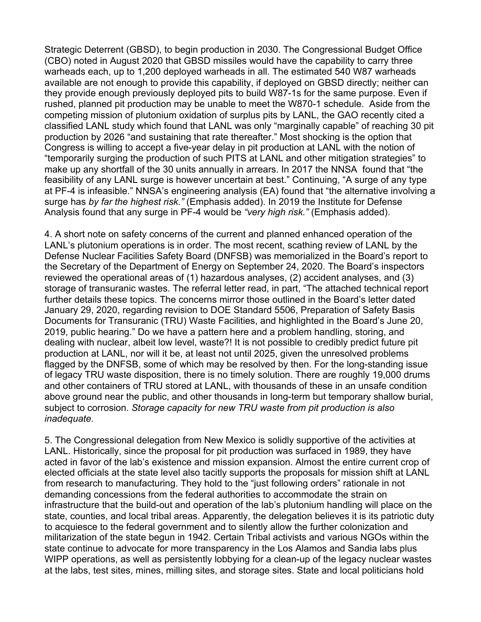Strategic Deterrent (GBSD), to begin production in 2030. The Congressional Budget Office (CBO) noted in August 2020 that GBSD missiles would have the capability to carry three warheads each, up to 1,200 deployed warheads in all. The estimated 540 W87 warheads available are not enough to provide this capability, if deployed on GBSD directly; neither can they provide enough previously deployed pits to build W87-1s for the same purpose. Even if rushed, planned pit production may be unable to meet the W870-1 schedule. Aside from the competing mission of plutonium oxidation of surplus pits by LANL, the GAO recently cited a classified LANL study which found that LANL was only "marginally capable" of reaching 30 pit production by 2026 "and sustaining that rate thereafter." Most shocking is the option that Congress is willing to accept a five-year delay in pit production at LANL with the notion of "temporarily surging the production of such PITS at LANL and other mitigation strategies" to make up any shortfall of the 30 units annually in arrears. In 2017 the NNSA found that "the feasibility of any LANL surge is however uncertain at best." Continuing, "A surge of any type at PF-4 is infeasible." NNSA's engineering analysis (EA) found that "the alternative involving a surge has *by far the highest risk."* (Emphasis added). In 2019 the Institute for Defense Analysis found that any surge in PF-4 would be *"very high risk."* (Emphasis added).

4. A short note on safety concerns of the current and planned enhanced operation of the LANL's plutonium operations is in order. The most recent, scathing review of LANL by the Defense Nuclear Facilities Safety Board (DNFSB) was memorialized in the Board's report to the Secretary of the Department of Energy on September 24, 2020. The Board's inspectors reviewed the operational areas of (1) hazardous analyses, (2) accident analyses, and (3) storage of transuranic wastes. The referral letter read, in part, "The attached technical report further details these topics. The concerns mirror those outlined in the Board's letter dated January 29, 2020, regarding revision to DOE Standard 5506, Preparation of Safety Basis Documents for Transuranic (TRU) Waste Facilities, and highlighted in the Board's June 20, 2019, public hearing." Do we have a pattern here and a problem handling, storing, and dealing with nuclear, albeit low level, waste?! It is not possible to credibly predict future pit production at LANL, nor will it be, at least not until 2025, given the unresolved problems flagged by the DNFSB, some of which may be resolved by then. For the long-standing issue of legacy TRU waste disposition, there is no timely solution. There are roughly 19,000 drums and other containers of TRU stored at LANL, with thousands of these in an unsafe condition above ground near the public, and other thousands in long-term but temporary shallow burial, subject to corrosion. *Storage capacity for new TRU waste from pit production is also inadequate.*

5. The Congressional delegation from New Mexico is solidly supportive of the activities at LANL. Historically, since the proposal for pit production was surfaced in 1989, they have acted in favor of the lab's existence and mission expansion. Almost the entire current crop of elected officials at the state level also tacitly supports the proposals for mission shift at LANL from research to manufacturing. They hold to the "just following orders" rationale in not demanding concessions from the federal authorities to accommodate the strain on infrastructure that the build-out and operation of the lab's plutonium handling will place on the state, counties, and local tribal areas. Apparently, the delegation believes it is its patriotic duty to acquiesce to the federal government and to silently allow the further colonization and militarization of the state begun in 1942. Certain Tribal activists and various NGOs within the state continue to advocate for more transparency in the Los Alamos and Sandia labs plus WIPP operations, as well as persistently lobbying for a clean-up of the legacy nuclear wastes at the labs, test sites, mines, milling sites, and storage sites. State and local politicians hold